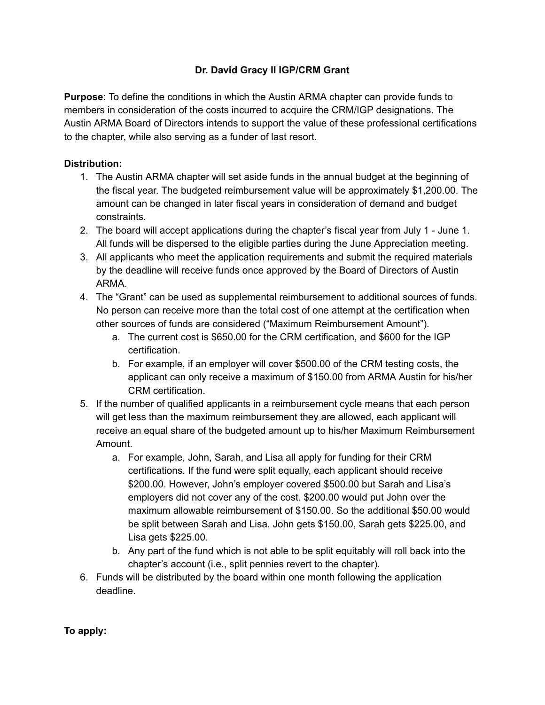## **Dr. David Gracy II IGP/CRM Grant**

**Purpose**: To define the conditions in which the Austin ARMA chapter can provide funds to members in consideration of the costs incurred to acquire the CRM/IGP designations. The Austin ARMA Board of Directors intends to support the value of these professional certifications to the chapter, while also serving as a funder of last resort.

## **Distribution:**

- 1. The Austin ARMA chapter will set aside funds in the annual budget at the beginning of the fiscal year. The budgeted reimbursement value will be approximately \$1,200.00. The amount can be changed in later fiscal years in consideration of demand and budget constraints.
- 2. The board will accept applications during the chapter's fiscal year from July 1 June 1. All funds will be dispersed to the eligible parties during the June Appreciation meeting.
- 3. All applicants who meet the application requirements and submit the required materials by the deadline will receive funds once approved by the Board of Directors of Austin ARMA.
- 4. The "Grant" can be used as supplemental reimbursement to additional sources of funds. No person can receive more than the total cost of one attempt at the certification when other sources of funds are considered ("Maximum Reimbursement Amount").
	- a. The current cost is \$650.00 for the CRM certification, and \$600 for the IGP certification.
	- b. For example, if an employer will cover \$500.00 of the CRM testing costs, the applicant can only receive a maximum of \$150.00 from ARMA Austin for his/her CRM certification.
- 5. If the number of qualified applicants in a reimbursement cycle means that each person will get less than the maximum reimbursement they are allowed, each applicant will receive an equal share of the budgeted amount up to his/her Maximum Reimbursement Amount.
	- a. For example, John, Sarah, and Lisa all apply for funding for their CRM certifications. If the fund were split equally, each applicant should receive \$200.00. However, John's employer covered \$500.00 but Sarah and Lisa's employers did not cover any of the cost. \$200.00 would put John over the maximum allowable reimbursement of \$150.00. So the additional \$50.00 would be split between Sarah and Lisa. John gets \$150.00, Sarah gets \$225.00, and Lisa gets \$225.00.
	- b. Any part of the fund which is not able to be split equitably will roll back into the chapter's account (i.e., split pennies revert to the chapter).
- 6. Funds will be distributed by the board within one month following the application deadline.

**To apply:**